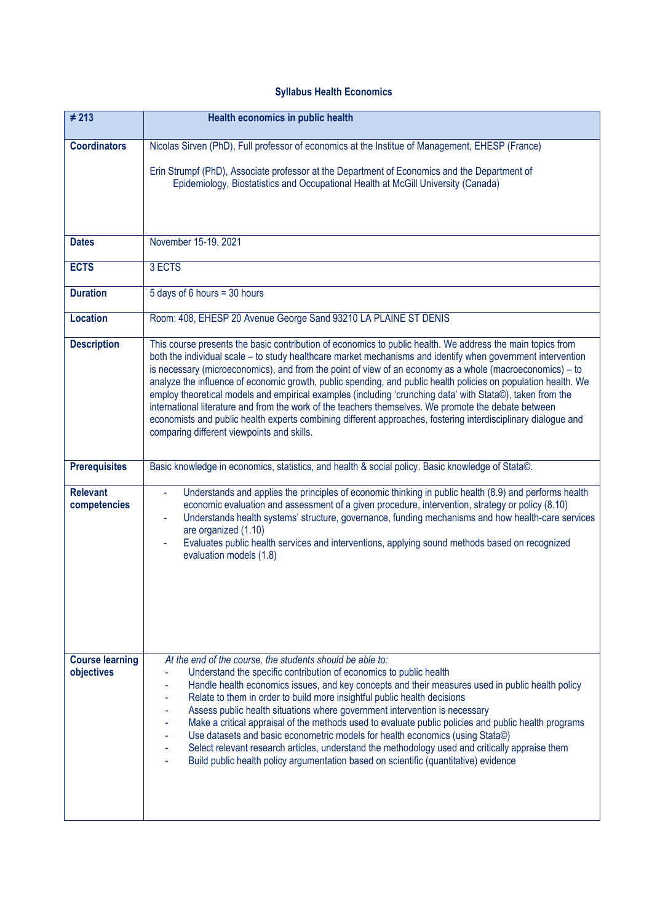## **Syllabus Health Economics**

| $\neq 213$                           | Health economics in public health                                                                                                                                                                                                                                                                                                                                                                                                                                                                                                                                                                                                                                                                                                                                                                                                           |
|--------------------------------------|---------------------------------------------------------------------------------------------------------------------------------------------------------------------------------------------------------------------------------------------------------------------------------------------------------------------------------------------------------------------------------------------------------------------------------------------------------------------------------------------------------------------------------------------------------------------------------------------------------------------------------------------------------------------------------------------------------------------------------------------------------------------------------------------------------------------------------------------|
| <b>Coordinators</b>                  | Nicolas Sirven (PhD), Full professor of economics at the Institue of Management, EHESP (France)                                                                                                                                                                                                                                                                                                                                                                                                                                                                                                                                                                                                                                                                                                                                             |
|                                      | Erin Strumpf (PhD), Associate professor at the Department of Economics and the Department of<br>Epidemiology, Biostatistics and Occupational Health at McGill University (Canada)                                                                                                                                                                                                                                                                                                                                                                                                                                                                                                                                                                                                                                                           |
| <b>Dates</b>                         | November 15-19, 2021                                                                                                                                                                                                                                                                                                                                                                                                                                                                                                                                                                                                                                                                                                                                                                                                                        |
|                                      |                                                                                                                                                                                                                                                                                                                                                                                                                                                                                                                                                                                                                                                                                                                                                                                                                                             |
| <b>ECTS</b>                          | 3 ECTS                                                                                                                                                                                                                                                                                                                                                                                                                                                                                                                                                                                                                                                                                                                                                                                                                                      |
| <b>Duration</b>                      | 5 days of 6 hours = 30 hours                                                                                                                                                                                                                                                                                                                                                                                                                                                                                                                                                                                                                                                                                                                                                                                                                |
| <b>Location</b>                      | Room: 408, EHESP 20 Avenue George Sand 93210 LA PLAINE ST DENIS                                                                                                                                                                                                                                                                                                                                                                                                                                                                                                                                                                                                                                                                                                                                                                             |
| <b>Description</b>                   | This course presents the basic contribution of economics to public health. We address the main topics from<br>both the individual scale – to study healthcare market mechanisms and identify when government intervention<br>is necessary (microeconomics), and from the point of view of an economy as a whole (macroeconomics) - to<br>analyze the influence of economic growth, public spending, and public health policies on population health. We<br>employ theoretical models and empirical examples (including 'crunching data' with Stata©), taken from the<br>international literature and from the work of the teachers themselves. We promote the debate between<br>economists and public health experts combining different approaches, fostering interdisciplinary dialogue and<br>comparing different viewpoints and skills. |
| <b>Prerequisites</b>                 | Basic knowledge in economics, statistics, and health & social policy. Basic knowledge of Stata©.                                                                                                                                                                                                                                                                                                                                                                                                                                                                                                                                                                                                                                                                                                                                            |
| <b>Relevant</b><br>competencies      | Understands and applies the principles of economic thinking in public health (8.9) and performs health<br>$\omega$<br>economic evaluation and assessment of a given procedure, intervention, strategy or policy (8.10)<br>Understands health systems' structure, governance, funding mechanisms and how health-care services<br>are organized (1.10)<br>Evaluates public health services and interventions, applying sound methods based on recognized<br>$\blacksquare$<br>evaluation models (1.8)                                                                                                                                                                                                                                                                                                                                         |
| <b>Course learning</b><br>objectives | At the end of the course, the students should be able to:<br>Understand the specific contribution of economics to public health<br>Handle health economics issues, and key concepts and their measures used in public health policy<br>Relate to them in order to build more insightful public health decisions<br>Assess public health situations where government intervention is necessary<br>Make a critical appraisal of the methods used to evaluate public policies and public health programs<br>Use datasets and basic econometric models for health economics (using Stata©)<br>Select relevant research articles, understand the methodology used and critically appraise them<br>Build public health policy argumentation based on scientific (quantitative) evidence                                                           |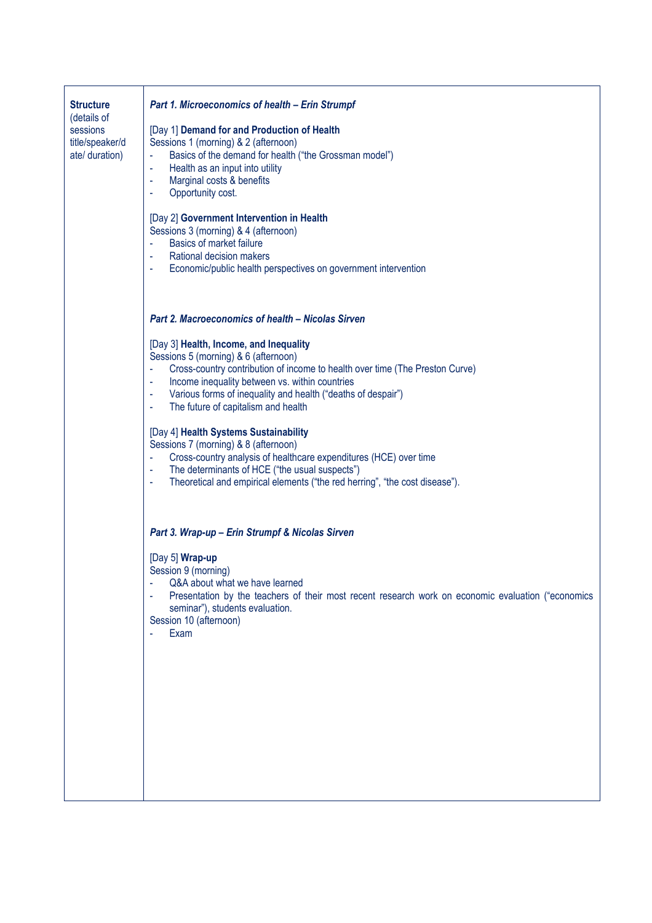| <b>Structure</b><br>(details of<br>sessions<br>title/speaker/d<br>ate/ duration) | <b>Part 1. Microeconomics of health - Erin Strumpf</b><br>[Day 1] Demand for and Production of Health<br>Sessions 1 (morning) & 2 (afternoon)<br>Basics of the demand for health ("the Grossman model")<br>Health as an input into utility<br>ä,<br>Marginal costs & benefits<br>$\omega$<br>Opportunity cost.<br>ä,<br>[Day 2] Government Intervention in Health<br>Sessions 3 (morning) & 4 (afternoon)<br>Basics of market failure<br>ä,<br>Rational decision makers<br>$\Box$<br>Economic/public health perspectives on government intervention<br>$\equiv$                                                                                                                                                                                                                        |
|----------------------------------------------------------------------------------|----------------------------------------------------------------------------------------------------------------------------------------------------------------------------------------------------------------------------------------------------------------------------------------------------------------------------------------------------------------------------------------------------------------------------------------------------------------------------------------------------------------------------------------------------------------------------------------------------------------------------------------------------------------------------------------------------------------------------------------------------------------------------------------|
|                                                                                  | <b>Part 2. Macroeconomics of health - Nicolas Sirven</b><br>[Day 3] Health, Income, and Inequality<br>Sessions 5 (morning) & 6 (afternoon)<br>Cross-country contribution of income to health over time (The Preston Curve)<br>$\blacksquare$<br>Income inequality between vs. within countries<br>$\blacksquare$<br>Various forms of inequality and health ("deaths of despair")<br>$\omega$<br>The future of capitalism and health<br>$\blacksquare$<br>[Day 4] Health Systems Sustainability<br>Sessions 7 (morning) & 8 (afternoon)<br>Cross-country analysis of healthcare expenditures (HCE) over time<br>$\blacksquare$<br>The determinants of HCE ("the usual suspects")<br>$\blacksquare$<br>Theoretical and empirical elements ("the red herring", "the cost disease").<br>ä, |
|                                                                                  | Part 3. Wrap-up - Erin Strumpf & Nicolas Sirven<br>[Day 5] Wrap-up<br>Session 9 (morning)<br>Q&A about what we have learned<br>Presentation by the teachers of their most recent research work on economic evaluation ("economics<br>seminar"), students evaluation.<br>Session 10 (afternoon)<br>Exam                                                                                                                                                                                                                                                                                                                                                                                                                                                                                 |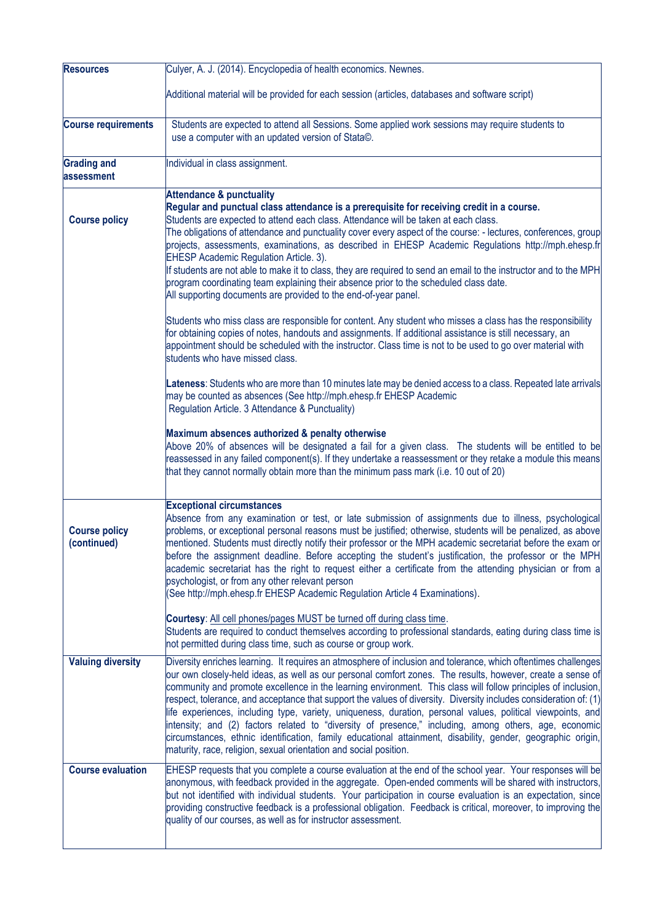| <b>Resources</b>                    | Culyer, A. J. (2014). Encyclopedia of health economics. Newnes.                                                                                                                                                                                                                                                                                                                                                                                                                                                                                                                                                                                                                                                                                                                                                                                                                |
|-------------------------------------|--------------------------------------------------------------------------------------------------------------------------------------------------------------------------------------------------------------------------------------------------------------------------------------------------------------------------------------------------------------------------------------------------------------------------------------------------------------------------------------------------------------------------------------------------------------------------------------------------------------------------------------------------------------------------------------------------------------------------------------------------------------------------------------------------------------------------------------------------------------------------------|
|                                     | Additional material will be provided for each session (articles, databases and software script)                                                                                                                                                                                                                                                                                                                                                                                                                                                                                                                                                                                                                                                                                                                                                                                |
| <b>Course requirements</b>          | Students are expected to attend all Sessions. Some applied work sessions may require students to<br>use a computer with an updated version of Stata©.                                                                                                                                                                                                                                                                                                                                                                                                                                                                                                                                                                                                                                                                                                                          |
| <b>Grading and</b><br>assessment    | Individual in class assignment.                                                                                                                                                                                                                                                                                                                                                                                                                                                                                                                                                                                                                                                                                                                                                                                                                                                |
| <b>Course policy</b>                | <b>Attendance &amp; punctuality</b><br>Regular and punctual class attendance is a prerequisite for receiving credit in a course.<br>Students are expected to attend each class. Attendance will be taken at each class.<br>The obligations of attendance and punctuality cover every aspect of the course: - lectures, conferences, group<br>projects, assessments, examinations, as described in EHESP Academic Regulations http://mph.ehesp.fr<br><b>EHESP Academic Regulation Article. 3).</b><br>If students are not able to make it to class, they are required to send an email to the instructor and to the MPH<br>program coordinating team explaining their absence prior to the scheduled class date.<br>All supporting documents are provided to the end-of-year panel.                                                                                             |
|                                     | Students who miss class are responsible for content. Any student who misses a class has the responsibility<br>for obtaining copies of notes, handouts and assignments. If additional assistance is still necessary, an<br>appointment should be scheduled with the instructor. Class time is not to be used to go over material with<br>students who have missed class.                                                                                                                                                                                                                                                                                                                                                                                                                                                                                                        |
|                                     | Lateness: Students who are more than 10 minutes late may be denied access to a class. Repeated late arrivals<br>may be counted as absences (See http://mph.ehesp.fr EHESP Academic<br>Regulation Article. 3 Attendance & Punctuality)                                                                                                                                                                                                                                                                                                                                                                                                                                                                                                                                                                                                                                          |
|                                     | Maximum absences authorized & penalty otherwise<br>Above 20% of absences will be designated a fail for a given class. The students will be entitled to be<br>reassessed in any failed component(s). If they undertake a reassessment or they retake a module this means<br>that they cannot normally obtain more than the minimum pass mark (i.e. 10 out of 20)                                                                                                                                                                                                                                                                                                                                                                                                                                                                                                                |
| <b>Course policy</b><br>(continued) | <b>Exceptional circumstances</b><br>Absence from any examination or test, or late submission of assignments due to illness, psychological<br>problems, or exceptional personal reasons must be justified; otherwise, students will be penalized, as above<br>mentioned. Students must directly notify their professor or the MPH academic secretariat before the exam or<br>before the assignment deadline. Before accepting the student's justification, the professor or the MPH<br>academic secretariat has the right to request either a certificate from the attending physician or from a<br>psychologist, or from any other relevant person<br>(See http://mph.ehesp.fr EHESP Academic Regulation Article 4 Examinations).                                                                                                                                              |
|                                     | Courtesy: All cell phones/pages MUST be turned off during class time.<br>Students are required to conduct themselves according to professional standards, eating during class time is<br>not permitted during class time, such as course or group work.                                                                                                                                                                                                                                                                                                                                                                                                                                                                                                                                                                                                                        |
| <b>Valuing diversity</b>            | Diversity enriches learning. It requires an atmosphere of inclusion and tolerance, which oftentimes challenges<br>our own closely-held ideas, as well as our personal comfort zones. The results, however, create a sense of<br>community and promote excellence in the learning environment. This class will follow principles of inclusion,<br>respect, tolerance, and acceptance that support the values of diversity. Diversity includes consideration of: (1)<br>life experiences, including type, variety, uniqueness, duration, personal values, political viewpoints, and<br>intensity; and (2) factors related to "diversity of presence," including, among others, age, economic<br>circumstances, ethnic identification, family educational attainment, disability, gender, geographic origin,<br>maturity, race, religion, sexual orientation and social position. |
| <b>Course evaluation</b>            | EHESP requests that you complete a course evaluation at the end of the school year. Your responses will be<br>anonymous, with feedback provided in the aggregate. Open-ended comments will be shared with instructors,<br>but not identified with individual students. Your participation in course evaluation is an expectation, since<br>providing constructive feedback is a professional obligation. Feedback is critical, moreover, to improving the<br>quality of our courses, as well as for instructor assessment.                                                                                                                                                                                                                                                                                                                                                     |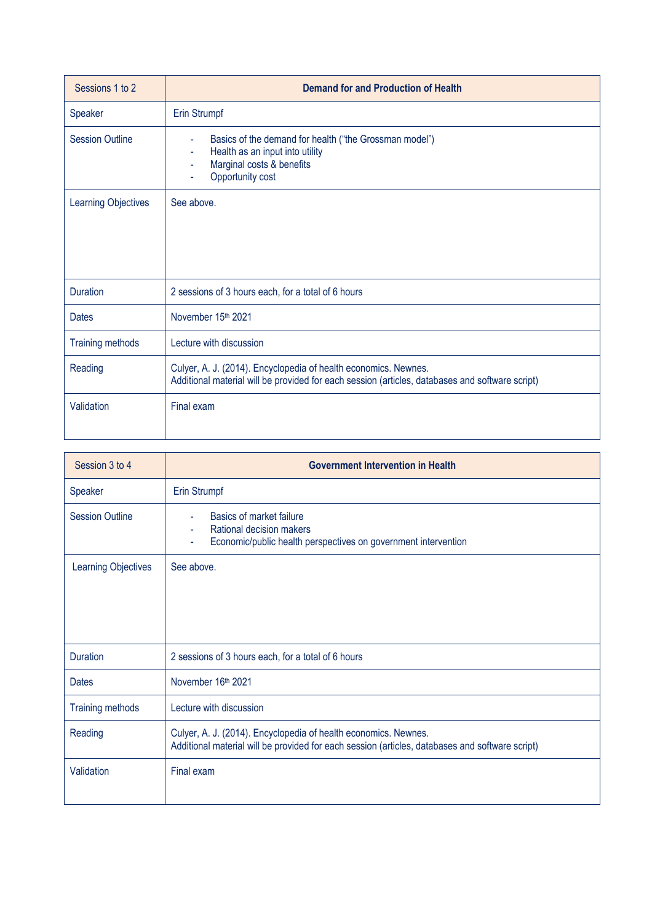| Sessions 1 to 2         | <b>Demand for and Production of Health</b>                                                                                                                         |
|-------------------------|--------------------------------------------------------------------------------------------------------------------------------------------------------------------|
| Speaker                 | Erin Strumpf                                                                                                                                                       |
| <b>Session Outline</b>  | Basics of the demand for health ("the Grossman model")<br>۰<br>Health as an input into utility<br>Marginal costs & benefits<br>Opportunity cost                    |
| Learning Objectives     | See above.                                                                                                                                                         |
| <b>Duration</b>         | 2 sessions of 3 hours each, for a total of 6 hours                                                                                                                 |
| <b>Dates</b>            | November 15th 2021                                                                                                                                                 |
| <b>Training methods</b> | Lecture with discussion                                                                                                                                            |
| Reading                 | Culyer, A. J. (2014). Encyclopedia of health economics. Newnes.<br>Additional material will be provided for each session (articles, databases and software script) |
| Validation              | Final exam                                                                                                                                                         |

| Session 3 to 4             | <b>Government Intervention in Health</b>                                                                                                                           |
|----------------------------|--------------------------------------------------------------------------------------------------------------------------------------------------------------------|
| Speaker                    | Erin Strumpf                                                                                                                                                       |
| <b>Session Outline</b>     | Basics of market failure<br>Rational decision makers<br>٠<br>Economic/public health perspectives on government intervention<br>٠                                   |
| <b>Learning Objectives</b> | See above.                                                                                                                                                         |
| <b>Duration</b>            | 2 sessions of 3 hours each, for a total of 6 hours                                                                                                                 |
| <b>Dates</b>               | November 16th 2021                                                                                                                                                 |
| <b>Training methods</b>    | Lecture with discussion                                                                                                                                            |
| Reading                    | Culyer, A. J. (2014). Encyclopedia of health economics. Newnes.<br>Additional material will be provided for each session (articles, databases and software script) |
| Validation                 | Final exam                                                                                                                                                         |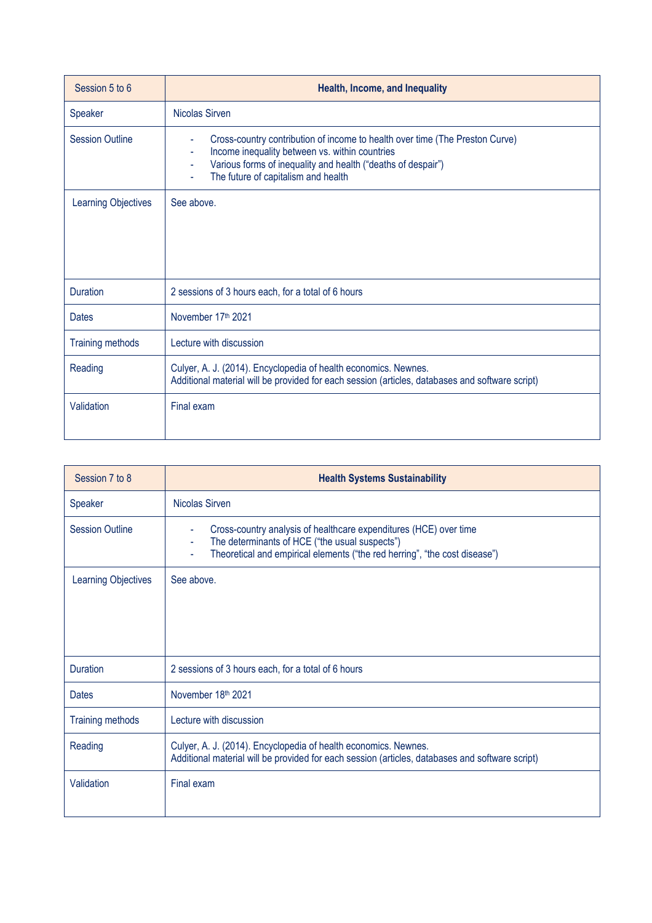| Session 5 to 6             | Health, Income, and Inequality                                                                                                                                                                                                                  |
|----------------------------|-------------------------------------------------------------------------------------------------------------------------------------------------------------------------------------------------------------------------------------------------|
| Speaker                    | Nicolas Sirven                                                                                                                                                                                                                                  |
| <b>Session Outline</b>     | Cross-country contribution of income to health over time (The Preston Curve)<br>٠<br>Income inequality between vs. within countries<br>Various forms of inequality and health ("deaths of despair")<br>Ξ<br>The future of capitalism and health |
| <b>Learning Objectives</b> | See above.                                                                                                                                                                                                                                      |
| <b>Duration</b>            | 2 sessions of 3 hours each, for a total of 6 hours                                                                                                                                                                                              |
| <b>Dates</b>               | November 17 <sup>th</sup> 2021                                                                                                                                                                                                                  |
| <b>Training methods</b>    | Lecture with discussion                                                                                                                                                                                                                         |
| Reading                    | Culyer, A. J. (2014). Encyclopedia of health economics. Newnes.<br>Additional material will be provided for each session (articles, databases and software script)                                                                              |
| Validation                 | Final exam                                                                                                                                                                                                                                      |

| Session 7 to 8          | <b>Health Systems Sustainability</b>                                                                                                                                                                   |
|-------------------------|--------------------------------------------------------------------------------------------------------------------------------------------------------------------------------------------------------|
| Speaker                 | <b>Nicolas Sirven</b>                                                                                                                                                                                  |
| <b>Session Outline</b>  | Cross-country analysis of healthcare expenditures (HCE) over time<br>The determinants of HCE ("the usual suspects")<br>Ξ<br>Theoretical and empirical elements ("the red herring", "the cost disease") |
| Learning Objectives     | See above.                                                                                                                                                                                             |
| <b>Duration</b>         | 2 sessions of 3 hours each, for a total of 6 hours                                                                                                                                                     |
| <b>Dates</b>            | November 18th 2021                                                                                                                                                                                     |
| <b>Training methods</b> | Lecture with discussion                                                                                                                                                                                |
| Reading                 | Culyer, A. J. (2014). Encyclopedia of health economics. Newnes.<br>Additional material will be provided for each session (articles, databases and software script)                                     |
| Validation              | Final exam                                                                                                                                                                                             |